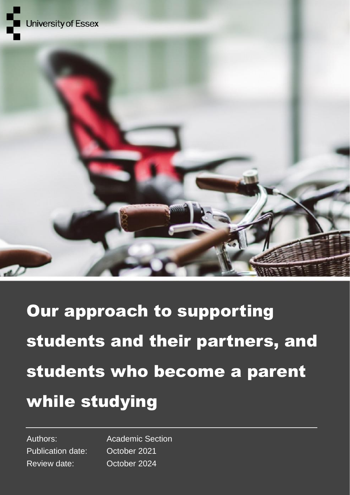



# Our approach to supporting students and their partners, and students who become a parent while studying

Publication date: October 2021 Review date: October 2024

Authors: Academic Section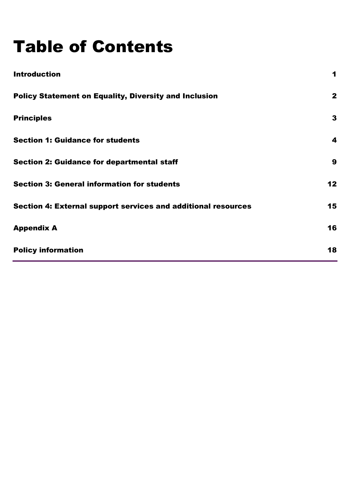# Table of Contents

| <b>Introduction</b>                                           | 1            |
|---------------------------------------------------------------|--------------|
| <b>Policy Statement on Equality, Diversity and Inclusion</b>  | $\mathbf{2}$ |
| <b>Principles</b>                                             | 3            |
| <b>Section 1: Guidance for students</b>                       | 4            |
| <b>Section 2: Guidance for departmental staff</b>             | 9            |
| <b>Section 3: General information for students</b>            | 12           |
| Section 4: External support services and additional resources | 15           |
| <b>Appendix A</b>                                             | 16           |
| <b>Policy information</b>                                     | 18           |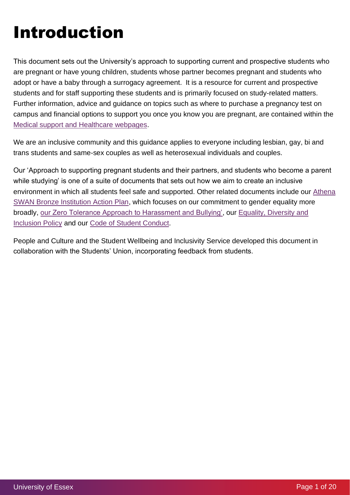# Introduction

This document sets out the University's approach to supporting current and prospective students who are pregnant or have young children, students whose partner becomes pregnant and students who adopt or have a baby through a surrogacy agreement. It is a resource for current and prospective students and for staff supporting these students and is primarily focused on study-related matters. Further information, advice and guidance on topics such as where to purchase a pregnancy test on campus and financial options to support you once you know you are pregnant, are contained within the [Medical support and Healthcare webpages.](https://www.essex.ac.uk/student/healthcare#pregnancy)

We are an inclusive community and this guidance applies to everyone including lesbian, gay, bi and trans students and same-sex couples as well as heterosexual individuals and couples.

Our 'Approach to supporting pregnant students and their partners, and students who become a parent while studying' is one of a suite of documents that sets out how we aim to create an inclusive environment in which all students feel safe and supported. Other related documents include our [Athena](https://www.essex.ac.uk/staff/diversity-and-inclusion/awards-and-applications)  [SWAN Bronze Institution Action Plan,](https://www.essex.ac.uk/staff/diversity-and-inclusion/awards-and-applications) which focuses on our commitment to gender equality more broadly, [our Zero Tolerance Approach to Harassment and Bullying',](https://www.essex.ac.uk/staff/diversity-and-inclusion/zero-tolerance-of-harassment-and-bullying) our [Equality, Diversity and](https://www.essex.ac.uk/staff/diversity-and-inclusion/equality-and-diversity-policy-and-strategy)  [Inclusion Policy](https://www.essex.ac.uk/staff/diversity-and-inclusion/equality-and-diversity-policy-and-strategy) and our [Code of Student Conduct.](https://www.essex.ac.uk/student/values/code-of-student-conduct)

People and Culture and the Student Wellbeing and Inclusivity Service developed this document in collaboration with the Students' Union, incorporating feedback from students.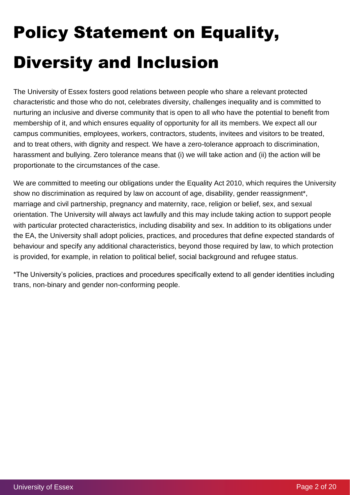# Policy Statement on Equality, Diversity and Inclusion

The University of Essex fosters good relations between people who share a relevant protected characteristic and those who do not, celebrates diversity, challenges inequality and is committed to nurturing an inclusive and diverse community that is open to all who have the potential to benefit from membership of it, and which ensures equality of opportunity for all its members. We expect all our campus communities, employees, workers, contractors, students, invitees and visitors to be treated, and to treat others, with dignity and respect. We have a zero-tolerance approach to discrimination, harassment and bullying. Zero tolerance means that (i) we will take action and (ii) the action will be proportionate to the circumstances of the case.

We are committed to meeting our obligations under the Equality Act 2010, which requires the University show no discrimination as required by law on account of age, disability, gender reassignment\*, marriage and civil partnership, pregnancy and maternity, race, religion or belief, sex, and sexual orientation. The University will always act lawfully and this may include taking action to support people with particular protected characteristics, including disability and sex. In addition to its obligations under the EA, the University shall adopt policies, practices, and procedures that define expected standards of behaviour and specify any additional characteristics, beyond those required by law, to which protection is provided, for example, in relation to political belief, social background and refugee status.

\*The University's policies, practices and procedures specifically extend to all gender identities including trans, non-binary and gender non-conforming people.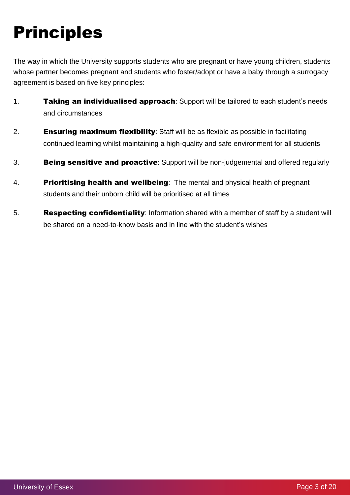# Principles

The way in which the University supports students who are pregnant or have young children, students whose partner becomes pregnant and students who foster/adopt or have a baby through a surrogacy agreement is based on five key principles:

- 1. Taking an individualised approach: Support will be tailored to each student's needs and circumstances
- 2. **Ensuring maximum flexibility**: Staff will be as flexible as possible in facilitating continued learning whilst maintaining a high-quality and safe environment for all students
- 3. **Being sensitive and proactive**: Support will be non-judgemental and offered regularly
- 4. Prioritising health and wellbeing: The mental and physical health of pregnant students and their unborn child will be prioritised at all times
- 5. Respecting confidentiality: Information shared with a member of staff by a student will be shared on a need-to-know basis and in line with the student's wishes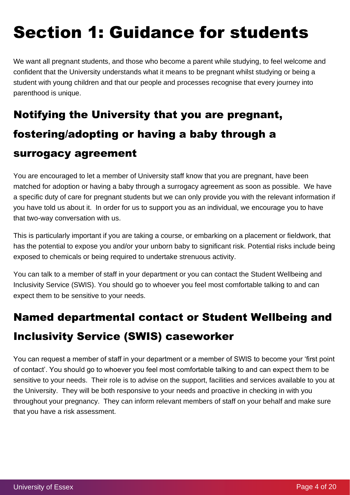# Section 1: Guidance for students

We want all pregnant students, and those who become a parent while studying, to feel welcome and confident that the University understands what it means to be pregnant whilst studying or being a student with young children and that our people and processes recognise that every journey into parenthood is unique.

# Notifying the University that you are pregnant, fostering/adopting or having a baby through a surrogacy agreement

You are encouraged to let a member of University staff know that you are pregnant, have been matched for adoption or having a baby through a surrogacy agreement as soon as possible. We have a specific duty of care for pregnant students but we can only provide you with the relevant information if you have told us about it. In order for us to support you as an individual, we encourage you to have that two-way conversation with us.

This is particularly important if you are taking a course, or embarking on a placement or fieldwork, that has the potential to expose you and/or your unborn baby to significant risk. Potential risks include being exposed to chemicals or being required to undertake strenuous activity.

You can talk to a member of staff in your department or you can contact the Student Wellbeing and Inclusivity Service (SWIS). You should go to whoever you feel most comfortable talking to and can expect them to be sensitive to your needs.

# Named departmental contact or Student Wellbeing and Inclusivity Service (SWIS) caseworker

You can request a member of staff in your department or a member of SWIS to become your 'first point of contact'. You should go to whoever you feel most comfortable talking to and can expect them to be sensitive to your needs. Their role is to advise on the support, facilities and services available to you at the University. They will be both responsive to your needs and proactive in checking in with you throughout your pregnancy. They can inform relevant members of staff on your behalf and make sure that you have a risk assessment.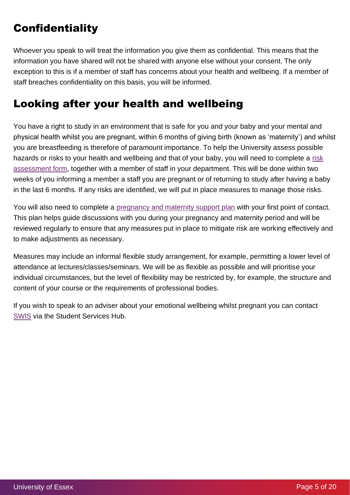# **Confidentiality**

Whoever you speak to will treat the information you give them as confidential. This means that the information you have shared will not be shared with anyone else without your consent. The only exception to this is if a member of staff has concerns about your health and wellbeing. If a member of staff breaches confidentiality on this basis, you will be informed.

## Looking after your health and wellbeing

You have a right to study in an environment that is safe for you and your baby and your mental and physical health whilst you are pregnant, within 6 months of giving birth (known as 'maternity') and whilst you are breastfeeding is therefore of paramount importance. To help the University assess possible hazards or risks to your health and wellbeing and that of your baby, you will need to complete a [risk](https://www.essex.ac.uk/student/healthcare/pregnancy-and-your-studies)  [assessment form,](https://www.essex.ac.uk/student/healthcare/pregnancy-and-your-studies) together with a member of staff in your department. This will be done within two weeks of you informing a member a staff you are pregnant or of returning to study after having a baby in the last 6 months. If any risks are identified, we will put in place measures to manage those risks.

You will also need to complete a [pregnancy and maternity support plan](https://www.essex.ac.uk/student/healthcare/pregnancy-and-your-studies) with your first point of contact. This plan helps guide discussions with you during your pregnancy and maternity period and will be reviewed regularly to ensure that any measures put in place to mitigate risk are working effectively and to make adjustments as necessary.

Measures may include an informal flexible study arrangement, for example, permitting a lower level of attendance at lectures/classes/seminars. We will be as flexible as possible and will prioritise your individual circumstances, but the level of flexibility may be restricted by, for example, the structure and content of your course or the requirements of professional bodies.

If you wish to speak to an adviser about your emotional wellbeing whilst pregnant you can contact [SWIS](https://www.essex.ac.uk/student/mental-and-emotional-health/mental-and-emotional-health-support) via the Student Services Hub.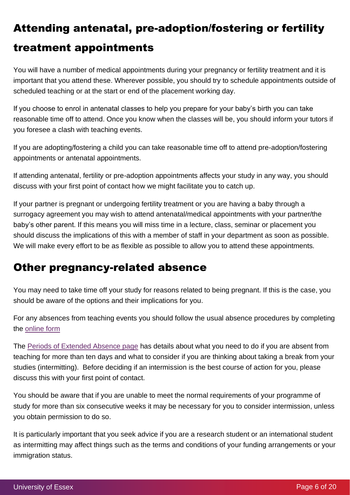# Attending antenatal, pre-adoption/fostering or fertility treatment appointments

You will have a number of medical appointments during your pregnancy or fertility treatment and it is important that you attend these. Wherever possible, you should try to schedule appointments outside of scheduled teaching or at the start or end of the placement working day.

If you choose to enrol in antenatal classes to help you prepare for your baby's birth you can take reasonable time off to attend. Once you know when the classes will be, you should inform your tutors if you foresee a clash with teaching events.

If you are adopting/fostering a child you can take reasonable time off to attend pre-adoption/fostering appointments or antenatal appointments.

If attending antenatal, fertility or pre-adoption appointments affects your study in any way, you should discuss with your first point of contact how we might facilitate you to catch up.

If your partner is pregnant or undergoing fertility treatment or you are having a baby through a surrogacy agreement you may wish to attend antenatal/medical appointments with your partner/the baby's other parent. If this means you will miss time in a lecture, class, seminar or placement you should discuss the implications of this with a member of staff in your department as soon as possible. We will make every effort to be as flexible as possible to allow you to attend these appointments.

## Other pregnancy-related absence

You may need to take time off your study for reasons related to being pregnant. If this is the case, you should be aware of the options and their implications for you.

For any absences from teaching events you should follow the usual absence procedures by completing the [online form](https://www1.essex.ac.uk/myessex/AbsenceFromTeaching.aspx) 

The [Periods of Extended Absence page](https://www.essex.ac.uk/student/attendance-and-engagement/extended-absence) has details about what you need to do if you are absent from teaching for more than ten days and what to consider if you are thinking about taking a break from your studies (intermitting). Before deciding if an intermission is the best course of action for you, please discuss this with your first point of contact.

You should be aware that if you are unable to meet the normal requirements of your programme of study for more than six consecutive weeks it may be necessary for you to consider intermission, unless you obtain permission to do so.

It is particularly important that you seek advice if you are a research student or an international student as intermitting may affect things such as the terms and conditions of your funding arrangements or your immigration status.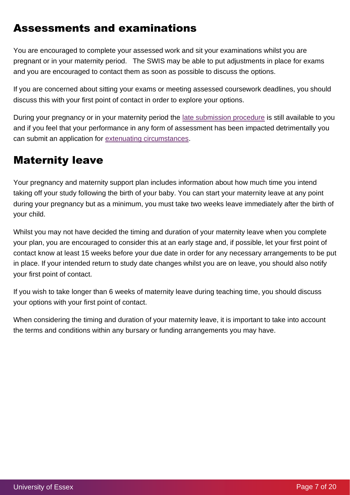## Assessments and examinations

You are encouraged to complete your assessed work and sit your examinations whilst you are pregnant or in your maternity period. The SWIS may be able to put adjustments in place for exams and you are encouraged to contact them as soon as possible to discuss the options.

If you are concerned about sitting your exams or meeting assessed coursework deadlines, you should discuss this with your first point of contact in order to explore your options.

During your pregnancy or in your maternity period the [late submission procedure](https://www1.essex.ac.uk/students/exams-and-coursework/late-submission.aspx) is still available to you and if you feel that your performance in any form of assessment has been impacted detrimentally you can submit an application for [extenuating circumstances.](https://www1.essex.ac.uk/students/exams-and-coursework/ext-circ.aspx)

### Maternity leave

Your pregnancy and maternity support plan includes information about how much time you intend taking off your study following the birth of your baby. You can start your maternity leave at any point during your pregnancy but as a minimum, you must take two weeks leave immediately after the birth of your child.

Whilst you may not have decided the timing and duration of your maternity leave when you complete your plan, you are encouraged to consider this at an early stage and, if possible, let your first point of contact know at least 15 weeks before your due date in order for any necessary arrangements to be put in place. If your intended return to study date changes whilst you are on leave, you should also notify your first point of contact.

If you wish to take longer than 6 weeks of maternity leave during teaching time, you should discuss your options with your first point of contact.

When considering the timing and duration of your maternity leave, it is important to take into account the terms and conditions within any bursary or funding arrangements you may have.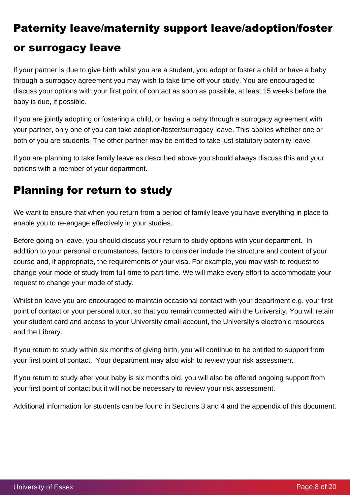# Paternity leave/maternity support leave/adoption/foster or surrogacy leave

If your partner is due to give birth whilst you are a student, you adopt or foster a child or have a baby through a surrogacy agreement you may wish to take time off your study. You are encouraged to discuss your options with your first point of contact as soon as possible, at least 15 weeks before the baby is due, if possible.

If you are jointly adopting or fostering a child, or having a baby through a surrogacy agreement with your partner, only one of you can take adoption/foster/surrogacy leave. This applies whether one or both of you are students. The other partner may be entitled to take just statutory paternity leave.

If you are planning to take family leave as described above you should always discuss this and your options with a member of your department.

## Planning for return to study

We want to ensure that when you return from a period of family leave you have everything in place to enable you to re-engage effectively in your studies.

Before going on leave, you should discuss your return to study options with your department. In addition to your personal circumstances, factors to consider include the structure and content of your course and, if appropriate, the requirements of your visa. For example, you may wish to request to change your mode of study from full-time to part-time. We will make every effort to accommodate your request to change your mode of study.

Whilst on leave you are encouraged to maintain occasional contact with your department e.g. your first point of contact or your personal tutor, so that you remain connected with the University. You will retain your student card and access to your University email account, the University's electronic resources and the Library.

If you return to study within six months of giving birth, you will continue to be entitled to support from your first point of contact. Your department may also wish to review your risk assessment.

If you return to study after your baby is six months old, you will also be offered ongoing support from your first point of contact but it will not be necessary to review your risk assessment.

Additional information for students can be found in Sections 3 and 4 and the appendix of this document.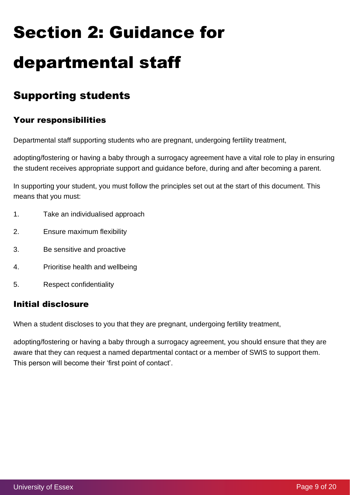# Section 2: Guidance for departmental staff

## Supporting students

#### Your responsibilities

Departmental staff supporting students who are pregnant, undergoing fertility treatment,

adopting/fostering or having a baby through a surrogacy agreement have a vital role to play in ensuring the student receives appropriate support and guidance before, during and after becoming a parent.

In supporting your student, you must follow the principles set out at the start of this document. This means that you must:

- 1. Take an individualised approach
- 2. Ensure maximum flexibility
- 3. Be sensitive and proactive
- 4. Prioritise health and wellbeing
- 5. Respect confidentiality

#### Initial disclosure

When a student discloses to you that they are pregnant, undergoing fertility treatment,

adopting/fostering or having a baby through a surrogacy agreement, you should ensure that they are aware that they can request a named departmental contact or a member of SWIS to support them. This person will become their 'first point of contact'.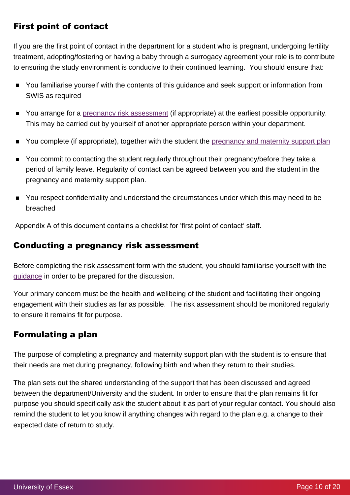#### First point of contact

If you are the first point of contact in the department for a student who is pregnant, undergoing fertility treatment, adopting/fostering or having a baby through a surrogacy agreement your role is to contribute to ensuring the study environment is conducive to their continued learning. You should ensure that:

- You familiarise yourself with the contents of this guidance and seek support or information from SWIS as required
- You arrange for a [pregnancy risk assessment](https://www.essex.ac.uk/student/healthcare/pregnancy-and-your-studies) (if appropriate) at the earliest possible opportunity. This may be carried out by yourself of another appropriate person within your department.
- You complete (if appropriate), together with the student the [pregnancy and maternity support plan](https://www.essex.ac.uk/student/healthcare/pregnancy-and-your-studies)
- You commit to contacting the student regularly throughout their pregnancy/before they take a period of family leave. Regularity of contact can be agreed between you and the student in the pregnancy and maternity support plan.
- You respect confidentiality and understand the circumstances under which this may need to be  $\blacksquare$ breached

Appendix A of this document contains a checklist for 'first point of contact' staff.

#### Conducting a pregnancy risk assessment

Before completing the risk assessment form with the student, you should familiarise yourself with the [guidance](https://www.essex.ac.uk/student/healthcare/pregnancy-and-your-studies) in order to be prepared for the discussion.

Your primary concern must be the health and wellbeing of the student and facilitating their ongoing engagement with their studies as far as possible. The risk assessment should be monitored regularly to ensure it remains fit for purpose.

#### Formulating a plan

The purpose of completing a pregnancy and maternity support plan with the student is to ensure that their needs are met during pregnancy, following birth and when they return to their studies.

The plan sets out the shared understanding of the support that has been discussed and agreed between the department/University and the student. In order to ensure that the plan remains fit for purpose you should specifically ask the student about it as part of your regular contact. You should also remind the student to let you know if anything changes with regard to the plan e.g. a change to their expected date of return to study.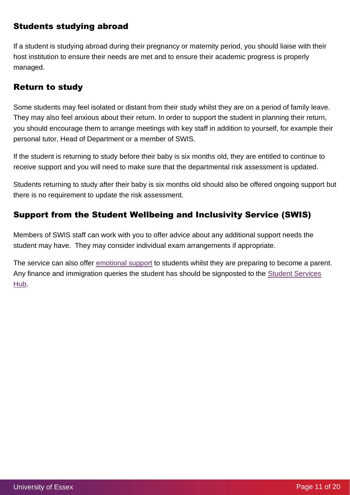#### Students studying abroad

If a student is studying abroad during their pregnancy or maternity period, you should liaise with their host institution to ensure their needs are met and to ensure their academic progress is properly managed.

#### Return to study

Some students may feel isolated or distant from their study whilst they are on a period of family leave. They may also feel anxious about their return. In order to support the student in planning their return, you should encourage them to arrange meetings with key staff in addition to yourself, for example their personal tutor, Head of Department or a member of SWIS.

If the student is returning to study before their baby is six months old, they are entitled to continue to receive support and you will need to make sure that the departmental risk assessment is updated.

Students returning to study after their baby is six months old should also be offered ongoing support but there is no requirement to update the risk assessment.

#### Support from the Student Wellbeing and Inclusivity Service (SWIS)

Members of SWIS staff can work with you to offer advice about any additional support needs the student may have. They may consider individual exam arrangements if appropriate.

The service can also offer [emotional support](https://www.essex.ac.uk/student/mental-and-emotional-health/mental-and-emotional-health-support) to students whilst they are preparing to become a parent. Any finance and immigration queries the student has should be signposted to the [Student Services](https://www.essex.ac.uk/student/advice-and-support)  [Hub.](https://www.essex.ac.uk/student/advice-and-support)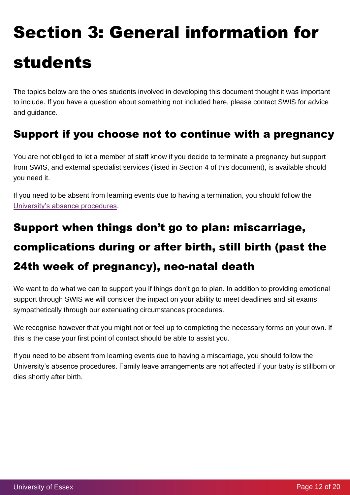# Section 3: General information for students

The topics below are the ones students involved in developing this document thought it was important to include. If you have a question about something not included here, please contact SWIS for advice and guidance.

## Support if you choose not to continue with a pregnancy

You are not obliged to let a member of staff know if you decide to terminate a pregnancy but support from SWIS, and external specialist services (listed in Section 4 of this document), is available should you need it.

If you need to be absent from learning events due to having a termination, you should follow the [University's absence procedures.](https://www.essex.ac.uk/student/attendance-and-engagement/extended-absence)

# Support when things don't go to plan: miscarriage, complications during or after birth, still birth (past the 24th week of pregnancy), neo-natal death

We want to do what we can to support you if things don't go to plan. In addition to providing emotional support through SWIS we will consider the impact on your ability to meet deadlines and sit exams sympathetically through our extenuating circumstances procedures.

We recognise however that you might not or feel up to completing the necessary forms on your own. If this is the case your first point of contact should be able to assist you.

If you need to be absent from learning events due to having a miscarriage, you should follow the University's absence procedures. Family leave arrangements are not affected if your baby is stillborn or dies shortly after birth.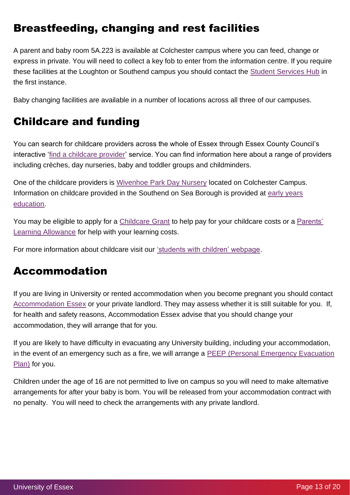## Breastfeeding, changing and rest facilities

A parent and baby room 5A.223 is available at Colchester campus where you can feed, change or express in private. You will need to collect a key fob to enter from the information centre. If you require these facilities at the Loughton or Southend campus you should contact the [Student Services Hub](https://www.essex.ac.uk/student/advice-and-support) in the first instance.

Baby changing facilities are available in a number of locations across all three of our campuses.

## Childcare and funding

You can search for childcare providers across the whole of Essex through Essex County Council's interactive ['find a childcare provider'](https://secureweb1.essex.gov.uk/FIS) service. You can find information here about a range of providers including crèches, day nurseries, baby and toddler groups and childminders.

One of the childcare providers is [Wivenhoe Park Day Nursery](http://www.wivenhoeparkdaynursery.co.uk/) located on Colchester Campus. Information on childcare provided in the Southend on Sea Borough is provided at [early years](https://www.southend.gov.uk/info/200345/early_years_education)  [education.](https://www.southend.gov.uk/info/200345/early_years_education)

You may be eligible to apply for a [Childcare Grant](https://www.gov.uk/childcare-grant) to help pay for your childcare costs or a Parents' [Learning Allowance](https://www.gov.uk/parents-learning-allowance?step-by-step-nav=18045f76-ac04-41b7-b147-5687d8fbb64a) for help with your learning costs.

For more information about childcare visit our ['students with children' webpage.](https://www.essex.ac.uk/student/student-communities/students-with-children)

#### Accommodation

If you are living in University or rented accommodation when you become pregnant you should contact [Accommodation Essex](https://www.essex.ac.uk/student/accommodation) or your private landlord. They may assess whether it is still suitable for you. If, for health and safety reasons, Accommodation Essex advise that you should change your accommodation, they will arrange that for you.

If you are likely to have difficulty in evacuating any University building, including your accommodation, in the event of an emergency such as a fire, we will arrange a PEEP (Personal Emergency Evacuation [Plan\)](https://www.essex.ac.uk/student/fire-safety/peep) for you.

Children under the age of 16 are not permitted to live on campus so you will need to make alternative arrangements for after your baby is born. You will be released from your accommodation contract with no penalty. You will need to check the arrangements with any private landlord.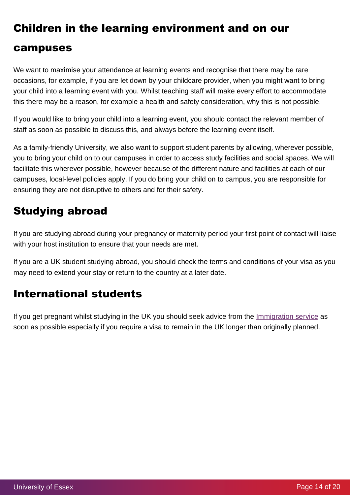# Children in the learning environment and on our campuses

#### We want to maximise your attendance at learning events and recognise that there may be rare occasions, for example, if you are let down by your childcare provider, when you might want to bring your child into a learning event with you. Whilst teaching staff will make every effort to accommodate this there may be a reason, for example a health and safety consideration, why this is not possible.

If you would like to bring your child into a learning event, you should contact the relevant member of staff as soon as possible to discuss this, and always before the learning event itself.

As a family-friendly University, we also want to support student parents by allowing, wherever possible, you to bring your child on to our campuses in order to access study facilities and social spaces. We will facilitate this wherever possible, however because of the different nature and facilities at each of our campuses, local-level policies apply. If you do bring your child on to campus, you are responsible for ensuring they are not disruptive to others and for their safety.

## Studying abroad

If you are studying abroad during your pregnancy or maternity period your first point of contact will liaise with your host institution to ensure that your needs are met.

If you are a UK student studying abroad, you should check the terms and conditions of your visa as you may need to extend your stay or return to the country at a later date.

## International students

If you get pregnant whilst studying in the UK you should seek advice from the [Immigration service](https://www1.essex.ac.uk/immigration/enquiry/default.aspx) as soon as possible especially if you require a visa to remain in the UK longer than originally planned.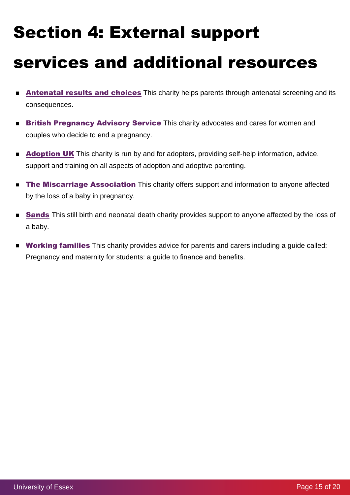# Section 4: External support services and additional resources

- $\blacksquare$ **[Antenatal results and choices](https://www.arc-uk.org/)** This charity helps parents through antenatal screening and its consequences.
- **[British Pregnancy Advisory Service](https://www.bpas.org/)** This charity advocates and cares for women and  $\blacksquare$ couples who decide to end a pregnancy.
- **[Adoption UK](https://www.adoptionuk.org/)** This charity is run by and for adopters, providing self-help information, advice, support and training on all aspects of adoption and adoptive parenting.
- The [Miscarriage Association](https://www.miscarriageassociation.org.uk/) This charity offers support and information to anyone affected  $\blacksquare$ by the loss of a baby in pregnancy.
- **[Sands](https://sands.org.uk/)** This still birth and neonatal death charity provides support to anyone affected by the loss of  $\blacksquare$ a baby.
- **[Working families](https://www.workingfamilies.org.uk/articles/pregnancy-and-maternity-for-students)** This charity provides advice for parents and carers including a quide called:  $\blacksquare$ Pregnancy and maternity for students: a guide to finance and benefits.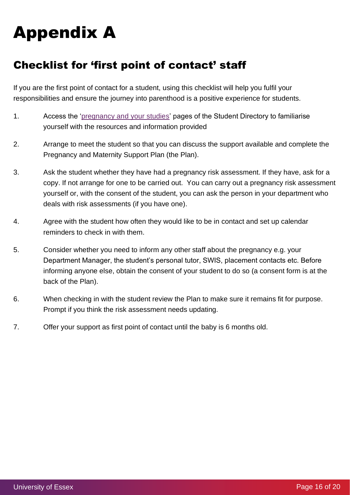# Appendix A

## Checklist for 'first point of contact' staff

If you are the first point of contact for a student, using this checklist will help you fulfil your responsibilities and ensure the journey into parenthood is a positive experience for students.

- 1. Access the ['pregnancy and your studies'](https://www.essex.ac.uk/student/healthcare/pregnancy-and-your-studies) pages of the Student Directory to familiarise yourself with the resources and information provided
- 2. Arrange to meet the student so that you can discuss the support available and complete the Pregnancy and Maternity Support Plan (the Plan).
- 3. Ask the student whether they have had a pregnancy risk assessment. If they have, ask for a copy. If not arrange for one to be carried out. You can carry out a pregnancy risk assessment yourself or, with the consent of the student, you can ask the person in your department who deals with risk assessments (if you have one).
- 4. Agree with the student how often they would like to be in contact and set up calendar reminders to check in with them.
- 5. Consider whether you need to inform any other staff about the pregnancy e.g. your Department Manager, the student's personal tutor, SWIS, placement contacts etc. Before informing anyone else, obtain the consent of your student to do so (a consent form is at the back of the Plan).
- 6. When checking in with the student review the Plan to make sure it remains fit for purpose. Prompt if you think the risk assessment needs updating.
- 7. Offer your support as first point of contact until the baby is 6 months old.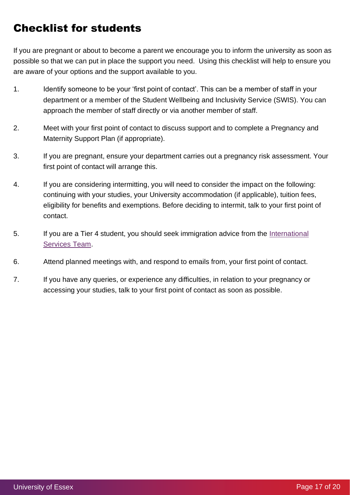## Checklist for students

If you are pregnant or about to become a parent we encourage you to inform the university as soon as possible so that we can put in place the support you need. Using this checklist will help to ensure you are aware of your options and the support available to you.

- 1. Identify someone to be your 'first point of contact'. This can be a member of staff in your department or a member of the Student Wellbeing and Inclusivity Service (SWIS). You can approach the member of staff directly or via another member of staff.
- 2. Meet with your first point of contact to discuss support and to complete a Pregnancy and Maternity Support Plan (if appropriate).
- 3. If you are pregnant, ensure your department carries out a pregnancy risk assessment. Your first point of contact will arrange this.
- 4. If you are considering intermitting, you will need to consider the impact on the following: continuing with your studies, your University accommodation (if applicable), tuition fees, eligibility for benefits and exemptions. Before deciding to intermit, talk to your first point of contact.
- 5. If you are a Tier 4 student, you should seek immigration advice from the International [Services Team.](https://www1.essex.ac.uk/immigration/enquiry/default.aspx)
- 6. Attend planned meetings with, and respond to emails from, your first point of contact.
- 7. If you have any queries, or experience any difficulties, in relation to your pregnancy or accessing your studies, talk to your first point of contact as soon as possible.